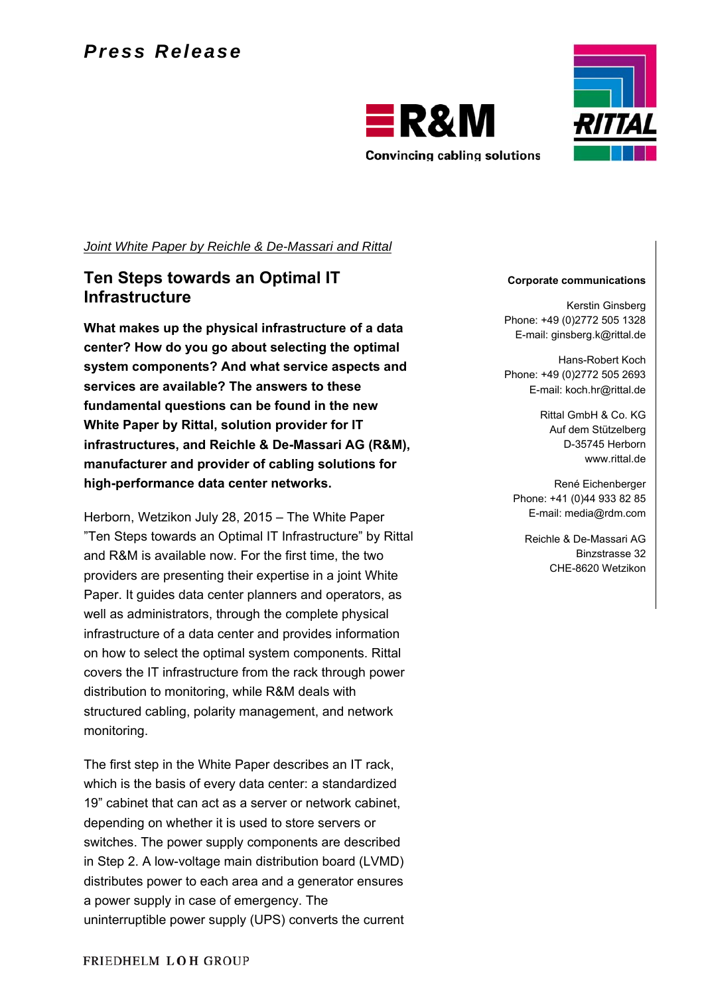



*Joint White Paper by Reichle & De-Massari and Rittal* 

### **Ten Steps towards an Optimal IT Infrastructure**

**What makes up the physical infrastructure of a data center? How do you go about selecting the optimal system components? And what service aspects and services are available? The answers to these fundamental questions can be found in the new White Paper by Rittal, solution provider for IT infrastructures, and Reichle & De-Massari AG (R&M), manufacturer and provider of cabling solutions for high-performance data center networks.** 

Herborn, Wetzikon July 28, 2015 – The White Paper "Ten Steps towards an Optimal IT Infrastructure" by Rittal and R&M is available now. For the first time, the two providers are presenting their expertise in a joint White Paper. It guides data center planners and operators, as well as administrators, through the complete physical infrastructure of a data center and provides information on how to select the optimal system components. Rittal covers the IT infrastructure from the rack through power distribution to monitoring, while R&M deals with structured cabling, polarity management, and network monitoring.

The first step in the White Paper describes an IT rack, which is the basis of every data center: a standardized 19" cabinet that can act as a server or network cabinet, depending on whether it is used to store servers or switches. The power supply components are described in Step 2. A low-voltage main distribution board (LVMD) distributes power to each area and a generator ensures a power supply in case of emergency. The uninterruptible power supply (UPS) converts the current

#### **Corporate communications**

Kerstin Ginsberg Phone: +49 (0)2772 505 1328 E-mail: ginsberg.k@rittal.de

Hans-Robert Koch Phone: +49 (0)2772 505 2693 E-mail: koch.hr@rittal.de

> Rittal GmbH & Co. KG Auf dem Stützelberg D-35745 Herborn www.rittal.de

René Eichenberger Phone: +41 (0)44 933 82 85 E-mail: media@rdm.com

Reichle & De-Massari AG Binzstrasse 32 CHE-8620 Wetzikon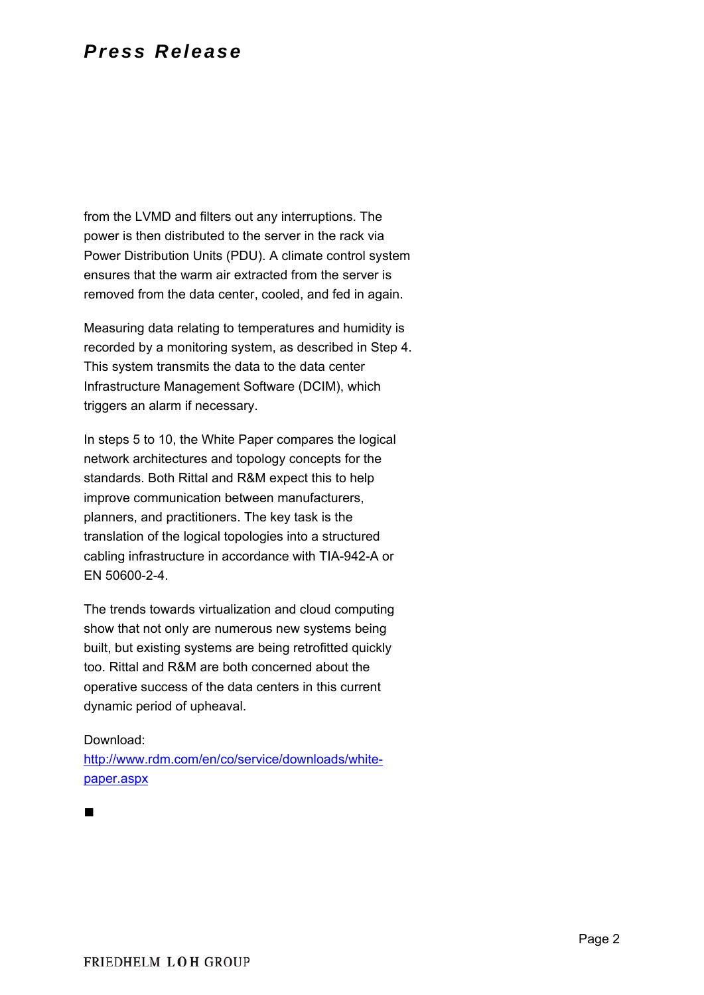from the LVMD and filters out any interruptions. The power is then distributed to the server in the rack via Power Distribution Units (PDU). A climate control system ensures that the warm air extracted from the server is removed from the data center, cooled, and fed in again.

Measuring data relating to temperatures and humidity is recorded by a monitoring system, as described in Step 4. This system transmits the data to the data center Infrastructure Management Software (DCIM), which triggers an alarm if necessary.

In steps 5 to 10, the White Paper compares the logical network architectures and topology concepts for the standards. Both Rittal and R&M expect this to help improve communication between manufacturers, planners, and practitioners. The key task is the translation of the logical topologies into a structured cabling infrastructure in accordance with TIA-942-A or EN 50600-2-4.

The trends towards virtualization and cloud computing show that not only are numerous new systems being built, but existing systems are being retrofitted quickly too. Rittal and R&M are both concerned about the operative success of the data centers in this current dynamic period of upheaval.

### Download:

http://www.rdm.com/en/co/service/downloads/whitepaper.aspx

 $\blacksquare$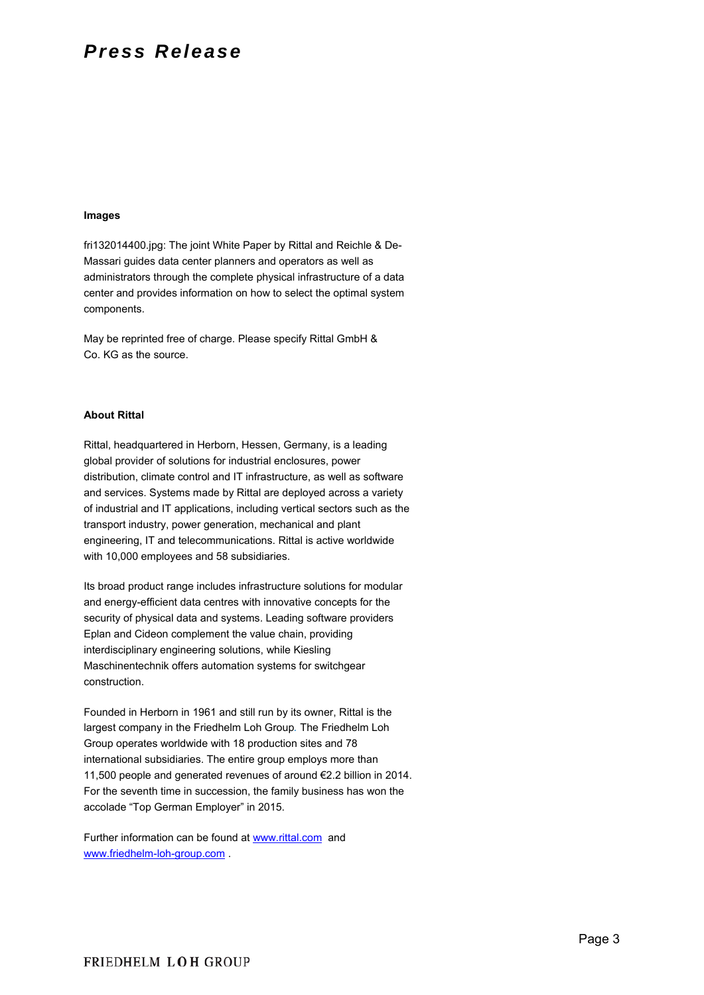#### **Images**

fri132014400.jpg: The joint White Paper by Rittal and Reichle & De-Massari guides data center planners and operators as well as administrators through the complete physical infrastructure of a data center and provides information on how to select the optimal system components.

May be reprinted free of charge. Please specify Rittal GmbH & Co. KG as the source.

#### **About Rittal**

Rittal, headquartered in Herborn, Hessen, Germany, is a leading global provider of solutions for industrial enclosures, power distribution, climate control and IT infrastructure, as well as software and services. Systems made by Rittal are deployed across a variety of industrial and IT applications, including vertical sectors such as the transport industry, power generation, mechanical and plant engineering, IT and telecommunications. Rittal is active worldwide with 10,000 employees and 58 subsidiaries.

Its broad product range includes infrastructure solutions for modular and energy-efficient data centres with innovative concepts for the security of physical data and systems. Leading software providers Eplan and Cideon complement the value chain, providing interdisciplinary engineering solutions, while Kiesling Maschinentechnik offers automation systems for switchgear construction.

Founded in Herborn in 1961 and still run by its owner, Rittal is the largest company in the Friedhelm Loh Group*.* The Friedhelm Loh Group operates worldwide with 18 production sites and 78 international subsidiaries. The entire group employs more than 11,500 people and generated revenues of around €2.2 billion in 2014. For the seventh time in succession, the family business has won the accolade "Top German Employer" in 2015.

Further information can be found at www.rittal.com and www.friedhelm-loh-group.com .